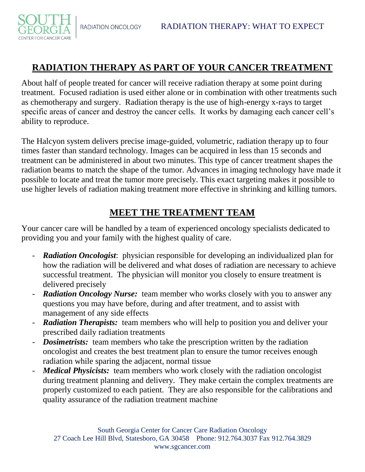RADIATION ONCOLOGY

CENTER FOR CANCER CARE

## **RADIATION THERAPY AS PART OF YOUR CANCER TREATMENT**

About half of people treated for cancer will receive radiation therapy at some point during treatment. Focused radiation is used either alone or in combination with other treatments such as chemotherapy and surgery. Radiation therapy is the use of high-energy x-rays to target specific areas of cancer and destroy the cancer cells. It works by damaging each cancer cell's ability to reproduce.

The Halcyon system delivers precise image-guided, volumetric, radiation therapy up to four times faster than standard technology. Images can be acquired in less than 15 seconds and treatment can be administered in about two minutes. This type of cancer treatment shapes the radiation beams to match the shape of the tumor. Advances in imaging technology have made it possible to locate and treat the tumor more precisely. This exact targeting makes it possible to use higher levels of radiation making treatment more effective in shrinking and killing tumors.

#### **MEET THE TREATMENT TEAM**

Your cancer care will be handled by a team of experienced oncology specialists dedicated to providing you and your family with the highest quality of care.

- *Radiation Oncologist*: physician responsible for developing an individualized plan for how the radiation will be delivered and what doses of radiation are necessary to achieve successful treatment. The physician will monitor you closely to ensure treatment is delivered precisely
- **Radiation Oncology Nurse:** team member who works closely with you to answer any questions you may have before, during and after treatment, and to assist with management of any side effects
- **Radiation Therapists:** team members who will help to position you and deliver your prescribed daily radiation treatments
- *Dosimetrists:* team members who take the prescription written by the radiation oncologist and creates the best treatment plan to ensure the tumor receives enough radiation while sparing the adjacent, normal tissue
- *Medical Physicists:* team members who work closely with the radiation oncologist during treatment planning and delivery. They make certain the complex treatments are properly customized to each patient. They are also responsible for the calibrations and quality assurance of the radiation treatment machine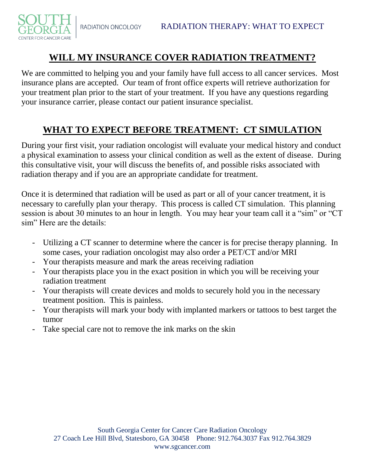CENTER FOR CANCER CARE

# **WILL MY INSURANCE COVER RADIATION TREATMENT?**

We are committed to helping you and your family have full access to all cancer services. Most insurance plans are accepted. Our team of front office experts will retrieve authorization for your treatment plan prior to the start of your treatment. If you have any questions regarding your insurance carrier, please contact our patient insurance specialist.

## **WHAT TO EXPECT BEFORE TREATMENT: CT SIMULATION**

During your first visit, your radiation oncologist will evaluate your medical history and conduct a physical examination to assess your clinical condition as well as the extent of disease. During this consultative visit, your will discuss the benefits of, and possible risks associated with radiation therapy and if you are an appropriate candidate for treatment.

Once it is determined that radiation will be used as part or all of your cancer treatment, it is necessary to carefully plan your therapy. This process is called CT simulation. This planning session is about 30 minutes to an hour in length. You may hear your team call it a "sim" or "CT sim" Here are the details:

- Utilizing a CT scanner to determine where the cancer is for precise therapy planning. In some cases, your radiation oncologist may also order a PET/CT and/or MRI
- Your therapists measure and mark the areas receiving radiation
- Your therapists place you in the exact position in which you will be receiving your radiation treatment
- Your therapists will create devices and molds to securely hold you in the necessary treatment position. This is painless.
- Your therapists will mark your body with implanted markers or tattoos to best target the tumor
- Take special care not to remove the ink marks on the skin